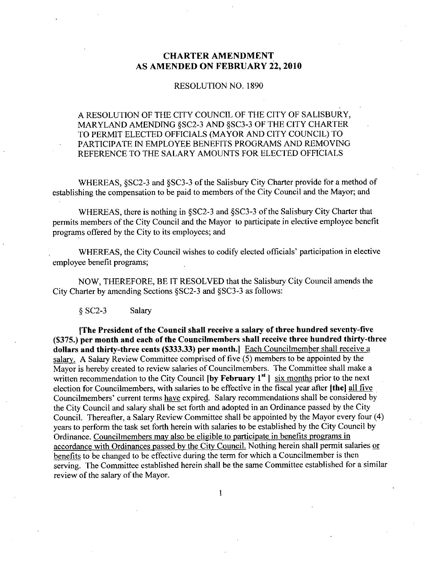### CHARTER AMENDMENT AS AMENDED ON FEBRUARY 22, 2010

#### RESOLUTION NO. 1890

## A RESOLUTION OF THE CITY COUNCIL OF THE CITY OF SALISBURY A RESOLUTION OF THE CITY COUNCIL OF T<br>MARYLAND AMENDING §SC2-3 AND §SC3-3<br>TO PERMIT ELECTED OFFICIALS (MAYOR A) OF THE CITY CHARTER TO PERMIT ELECTED OFFICIALS (MAYOR AND CITY COUNCIL) TO PARTICIPATE IN EMPLOYEE BENEFITS PROGRAMS AND REMOVING REFERENCE TO THE SALARY AMOUNTS FOR ELECTED OFFICIALS

REFERENCE TO THE SALARY AMOUNTS FOR ELECTED OFFICIALS<br>WHEREAS, §SC2-3 and §SC3-3 of the Salisbury City Charter provide for a method<br>establishing the compensation to be paid to members of the City Council and the Mayor; and WHEREAS, §SC2-3 and §SC3-3 of the Salisbury City Charter provide for a method of

WHEREAS, §SC2-3 and §SC3-3 of the Salisbury C<br>hing the compensation to be paid to members of the<br>WHEREAS, there is nothing in §SC2-3 and §SC3-3<br>members of the City Council and the Mayor to part of the Salisbury City Charter that permits members of the City Council and the Mayor to participate in elective employee benefit programs offered by the City to its employees; and

WHEREAS, the City Council wishes to codify elected officials' participation in elective employee benefit programs

NOW, THEREFORE, BE IT RESOLVED that the Salisbury City Council amends the employee benefit programs;<br>NOW, THEREFORE, BE IT RESOLVED that the Salisbur<br>City Charter by amending Sections §SC2-3 and §SC3-3 as follows: SC2-3 Salary

g 502-5<br>The President of the Council shall receive a salary of three hundred seventy-five<br>nor month and each of the Councilmembers shall receive three hundred thirty-th [The President of the Council shall receive a salary of three hundred seventy-five (\$375.) per month and each of the Councilmembers shall receive three hundred thirty-three dollars and thirty-three cents (\$333.33) per mon dollars and thirty-three cents (\$333.33) per month.] Each Councilmember shall receive a salary. A Salary Review Committee comprised of five  $(5)$  members to be appointed by the Mayor is hereby created to review salaries of Councilmembers. The Committee shall make a written recommendation to the City Council  $[by February 1<sup>st</sup>]$  six months prior to the next election for Councilmembers, with salaries to be effective in the fiscal year after [the] all five Councilmembers' current terms have expired. Salary recommendations shall be considered by the City Council and salary shall be set forth and adopted in an Ordinance passed by the City Council. Thereafter, a Salary Review Committee shall be appointed by the Mayor every four (4) years to perform the task set forth herein with salaries to be established by the City Council by Ordinance. Councilmembers may also be eligible to participate in benefits programs in accordance with Ordinances passed by the City Council. Nothing herein shall permit salaries or benefits to be changed to be effective during the term for which a Councilmember is then serving. The Committee established herein shall be the same Committee established for a similar review of the salary of the Mayor.

 $\mathbf{1}$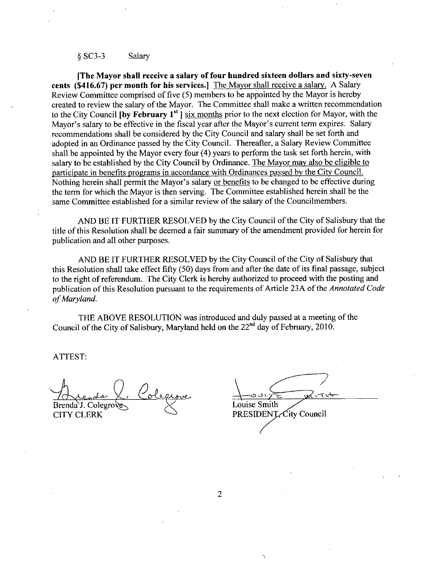# SC3-3 Salary

[The Mayor shall receive a salary of four hundred sixteen dollars and sixty-seven<br>cents (\$416.67) per month for his services.] The Mayor shall receive a salary. A Salary<br>Review Committee comprised of five (5) members to be Review Committee comprised of five (5) members to be appointed by the Mayor is hereby<br>Review Committee comprised of five (5) members to be appointed by the Mayor is hereby created to review the salary of the Mayor. The Committee shall make a written recommendation to the City Council **[by February 1<sup>st</sup>]** six months prior to the next election for Mayor, with the Review Committee comprised of five (5) members to be appoint<br>created to review the salary of the Mayor. The Committee shall if<br>to the City Council [by February 1<sup>st</sup> ] six months prior to the ne<br>Mayor's salary to be effect Mayor's salary to be effective in the fiscal year after the Mayor's current term expires. Salary recommendations shall be considered by the City Council and salary shall be set forth and adopted in an Ordinance passed by the City Council. Thereafter, a Salary Review Committee shall be appointed by the Mayor every four  $(4)$  years to perform the task set forth herein, with salary to be established by the City Council by Ordinance. The Mayor may also be eligible to participate in benefits programs in accordance with Ordinances passed by the City Council adopted in an Ordinance passed by the City Coditent. Thereafter, a salary Neview Committed shall be appointed by the Mayor every four (4) years to perform the task set forth herein, with salary to be established by the Cit the term for which the Mayor is then serving. The Committee established herein shall be the same Committee established for a similar review of the salary of the Councilmembers.

AND BE IT FURTHER RESOLVED by the City Council of the City of Salisbury that the title of this Resolution shall be deemed a fair summary of the amendment provided for herein for publication and all other purposes

AND BE IT FURTHER RESOLVED by the City Council of the City of Salisbury that this Resolution shall take effect fifty (50) days from and after the date of its final passage, subject to the right of referendum. The City Clerk is hereby authorized to proceed with the posting and publication of this Resolution pursuant to the requirements of Article 23A of the Annotated Code of Maryland.

THE ABOVE RESOLUTION was introduced and duly passed at a meeting of the THE ABOVE RESOLUTION was introduced and duly passed at a meeting Council of the City of Salisbury, Maryland held on the  $22<sup>nd</sup>$  day of February, 2010. Council of<br>ATTEST:

 $Brenda'J. Colegrove \times$  Louise Smith

CITY CLERK  $\bigcirc$  PRESIDENT, City Council

2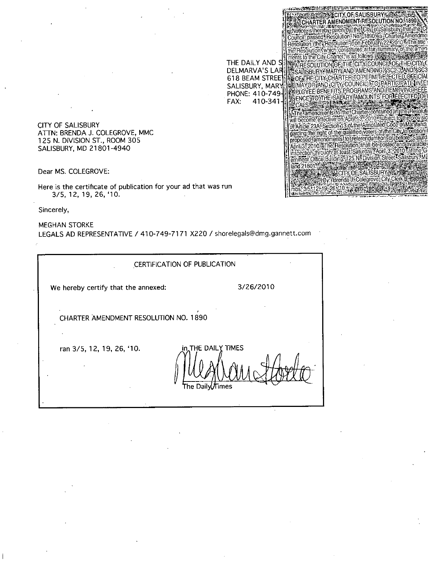CITY OF SALISBURY ATTN: BRENDA J. COLEGROVE, MMC 125 N. DIVISION ST., ROOM 305 SALISBURY, MD 21801-4940

Dear MS. COLEGROVE:

Here is the certificate of publication for your ad that was run 3/5, 12, 19, 26, '10.

Sincerely

MEGHAN STORKE Sincerely,<br>MEGHAN STORKE<br>LEGALS AD REPRESENTATIVE / 410-749-7171 X220 / shorelegals@dmg.gannett.com WE HALS AD REPRESENTATIVE / 410-749-7171 X220 / shorelegals@dmg.gang<br>
CERTIFICATION OF PUBLICATION<br>
We hereby certify that the annexed: 3/26/2010

CERTIFICATION OF PUBLICATION

THE DAILY AND S DELMARVA'S LAR 618 BEAM SALISBURY, MARY PHONE: 410-749  $FAX: 410-341$ 

**EXAMPLE AND CONTRACT CONTRACT AND ACCEPTANCE CONTRACT CONTRACT CONTRACT CONTRACT CONTRACT CONTRACT CONTRACT CONTRACT CONTRACT CONTRACT CONTRACT CONTRACT CONTRACT CONTRACT CONTRACT CONTRACT CONTRACT CONTRACT CONTRACT CONTR** 

Motice is thereby given by the City of Salisbury that the China Motice is thereby given by the City of Salisbury that the China Motice is the resolution? No. 1890 Ya Charles Of The International<br>The Resolution (the Resolut

SALISBURY MARYLAND AMENDING SSC2 3/AND SSC3 **ASSAUSHUH YAMAH LAND AMENOING 8302-07510 83001 EN OF THE CLIMATE COUNCIL TO PARTICIPATE IN ED.**<br>HELMAYOR AND ICITY, COUNCIL TO PARTICIPATE IN ED.

CHARTER AMENDMENT RESOLUTION NO. 1890

ran 3/5, 12, 19, 26, '10. *in*<sub>n</sub>THE DAILY TIMES he Daily*∬*Times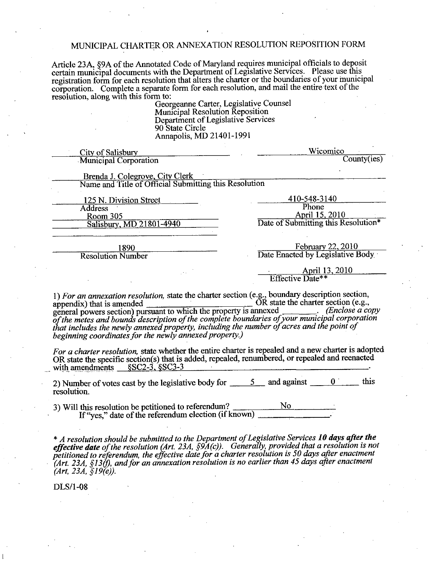# MUNICIPAL CHARTER OR ANNEXATION RESOLUTION REPOSITION FORM

Article 23A, §9A of the Annotated Code of Maryland requires municipal officials to deposit certain municipal documents with the Department of Legislative Services. Please use this registration form for each resolution that alters the charter or the boundaries of your municipal corporation Complete <sup>a</sup> separate form for each resolution and mail the entire text of the resolution, along with this form to:

Georgeanne Carter, Legislative Counsel Mumcipal Resolution Reposition Department of Legislative Services 90 State Circle Annapolis, MD 21401-1991

| <b>City of Salisbury</b>                                                                                                                                                                                                                                                                                                                                                                         | Wicomico                            |             |  |      |
|--------------------------------------------------------------------------------------------------------------------------------------------------------------------------------------------------------------------------------------------------------------------------------------------------------------------------------------------------------------------------------------------------|-------------------------------------|-------------|--|------|
| <b>Municipal Corporation</b>                                                                                                                                                                                                                                                                                                                                                                     | County(ies)                         |             |  |      |
|                                                                                                                                                                                                                                                                                                                                                                                                  |                                     |             |  |      |
| Brenda J. Colegrove, City Clerk                                                                                                                                                                                                                                                                                                                                                                  |                                     |             |  |      |
| Name and Title of Official Submitting this Resolution                                                                                                                                                                                                                                                                                                                                            |                                     |             |  |      |
| 125 N. Division Street                                                                                                                                                                                                                                                                                                                                                                           | 410-548-3140                        |             |  |      |
| <b>Address</b>                                                                                                                                                                                                                                                                                                                                                                                   | Phone                               |             |  |      |
| Room 305                                                                                                                                                                                                                                                                                                                                                                                         | April 15, 2010                      |             |  |      |
| Salisbury, MD 21801-4940                                                                                                                                                                                                                                                                                                                                                                         | Date of Submitting this Resolution* |             |  |      |
|                                                                                                                                                                                                                                                                                                                                                                                                  |                                     |             |  |      |
|                                                                                                                                                                                                                                                                                                                                                                                                  | February 22, 2010                   |             |  |      |
| 1890<br><b>Resolution Number</b>                                                                                                                                                                                                                                                                                                                                                                 | Date Enacted by Legislative Body    |             |  |      |
|                                                                                                                                                                                                                                                                                                                                                                                                  |                                     |             |  |      |
|                                                                                                                                                                                                                                                                                                                                                                                                  | April 13, 2010                      |             |  |      |
|                                                                                                                                                                                                                                                                                                                                                                                                  | Effective Date**                    |             |  |      |
| that includes the newly annexed property, including the number of acres and the point of<br>beginning coordinates for the newly annexed property.)<br>For a charter resolution, state whether the entire charter is repealed and a new charter is adopted<br>OR state the specific section(s) that is added, repealed, renumbered, or repealed and reenacted<br>with amendments $$SC2-3, $SC3-3$ |                                     |             |  |      |
| 2) Number of votes cast by the legislative body for $\frac{5}{2}$ and against $\frac{0}{2}$<br>resolution.                                                                                                                                                                                                                                                                                       |                                     |             |  | this |
|                                                                                                                                                                                                                                                                                                                                                                                                  |                                     |             |  |      |
| 3) Will this resolution be petitioned to referendum?<br>If "yes," date of the referendum election (if known)                                                                                                                                                                                                                                                                                     |                                     | No results. |  |      |